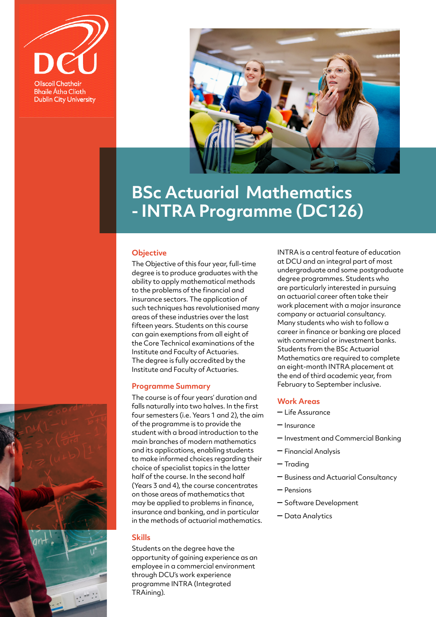



# **BSc Actuarial Mathematics - INTRA Programme (DC126)**

### **Objective**

The Objective of this four year, full-time degree is to produce graduates with the ability to apply mathematical methods to the problems of the financial and insurance sectors. The application of such techniques has revolutionised many areas of these industries over the last fifteen years. Students on this course can gain exemptions from all eight of the Core Technical examinations of the Institute and Faculty of Actuaries. The degree is fully accredited by the Institute and Faculty of Actuaries.

### **Programme Summary**

The course is of four years' duration and falls naturally into two halves. In the first four semesters (i.e. Years 1 and 2), the aim of the programme is to provide the student with a broad introduction to the main branches of modern mathematics and its applications, enabling students to make informed choices regarding their choice of specialist topics in the latter half of the course. In the second half (Years 3 and 4), the course concentrates on those areas of mathematics that may be applied to problems in finance, insurance and banking, and in particular in the methods of actuarial mathematics.

### **Skills**

Students on the degree have the opportunity of gaining experience as an employee in a commercial environment through DCU's work experience programme INTRA (Integrated TRAining).

INTRA is a central feature of education at DCU and an integral part of most undergraduate and some postgraduate degree programmes. Students who are particularly interested in pursuing an actuarial career often take their work placement with a major insurance company or actuarial consultancy. Many students who wish to follow a career in finance or banking are placed with commercial or investment banks. Students from the BSc Actuarial Mathematics are required to complete an eight-month INTRA placement at the end of third academic year, from February to September inclusive.

### **Work Areas**

- Life Assurance
- Insurance
- Investment and Commercial Banking
- Financial Analysis
- Trading
- Business and Actuarial Consultancy
- Pensions
- Software Development
- Data Analytics